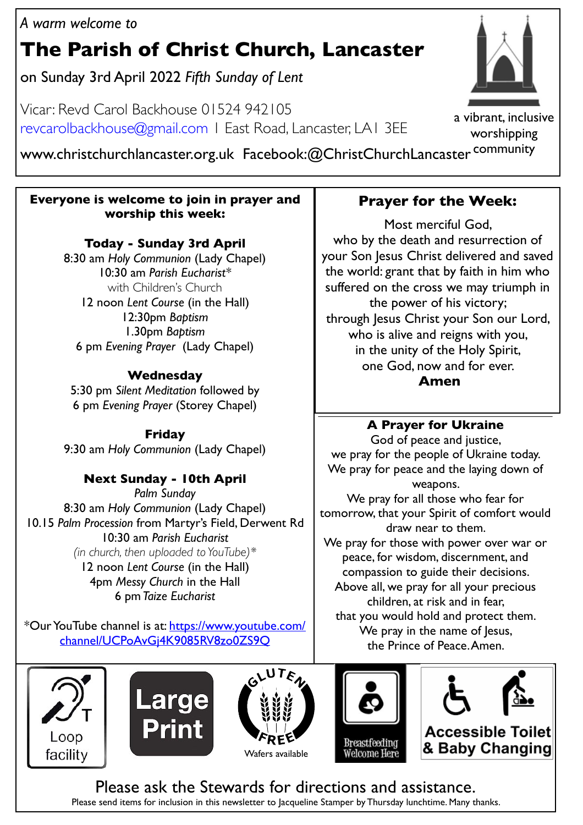*A warm welcome to* 

# **The Parish of Christ Church, Lancaster**

on Sunday 3rd April 2022 *Fifth Sunday of Lent*

Vicar: Revd Carol Backhouse 01524 942105 [revcarolbackhouse@gmail.com](mailto:revcarolbackhouse@gmail.com) 1 East Road, Lancaster, LA1 3EE

www.christchurchlancaster.org.uk Facebook:@ChristChurchLancaster community

#### **Everyone is welcome to join in prayer and worship this week:**

#### **Today - Sunday 3rd April**

8:30 am *Holy Communion* (Lady Chapel) 10:30 am *Parish Eucharist\** with Children's Church 12 noon *Lent Course* (in the Hall) 12:30pm *Baptism* 1.30pm *Baptism* 6 pm *Evening Prayer* (Lady Chapel)

#### **Wednesday**

5:30 pm *Silent Meditation* followed by 6 pm *Evening Prayer* (Storey Chapel)

**Friday**  9:30 am *Holy Communion* (Lady Chapel)

**Next Sunday - 10th April** *Palm Sunday* 8:30 am *Holy Communion* (Lady Chapel) 10.15 *Palm Procession* from Martyr's Field, Derwent Rd 10:30 am *Parish Eucharist (in church, then uploaded to YouTube)\** 12 noon *Lent Course* (in the Hall) 4pm *Messy Church* in the Hall 6 pm *Taize Eucharist*

\*Our YouTube channel is at: [https://www.youtube.com/](https://www.youtube.com/channel/UCPoAvGj4K9085RV8zo0ZS9Q) [channel/UCPoAvGj4K9085RV8zo0ZS9Q](https://www.youtube.com/channel/UCPoAvGj4K9085RV8zo0ZS9Q)









Most merciful God, who by the death and resurrection of your Son Jesus Christ delivered and saved the world: grant that by faith in him who suffered on the cross we may triumph in the power of his victory; through Jesus Christ your Son our Lord, who is alive and reigns with you, in the unity of the Holy Spirit, one God, now and for ever. **Amen**

### **A Prayer for Ukraine**

God of peace and justice, we pray for the people of Ukraine today. We pray for peace and the laying down of weapons.

We pray for all those who fear for tomorrow, that your Spirit of comfort would draw near to them.

We pray for those with power over war or peace, for wisdom, discernment, and compassion to guide their decisions. Above all, we pray for all your precious children, at risk and in fear, that you would hold and protect them. We pray in the name of lesus, the Prince of Peace. Amen.





**Accessible Toilet** & Baby Changing



worshipping

Please ask the Stewards for directions and assistance. Please send items for inclusion in this newsletter to Jacqueline Stamper by Thursday lunchtime. Many thanks.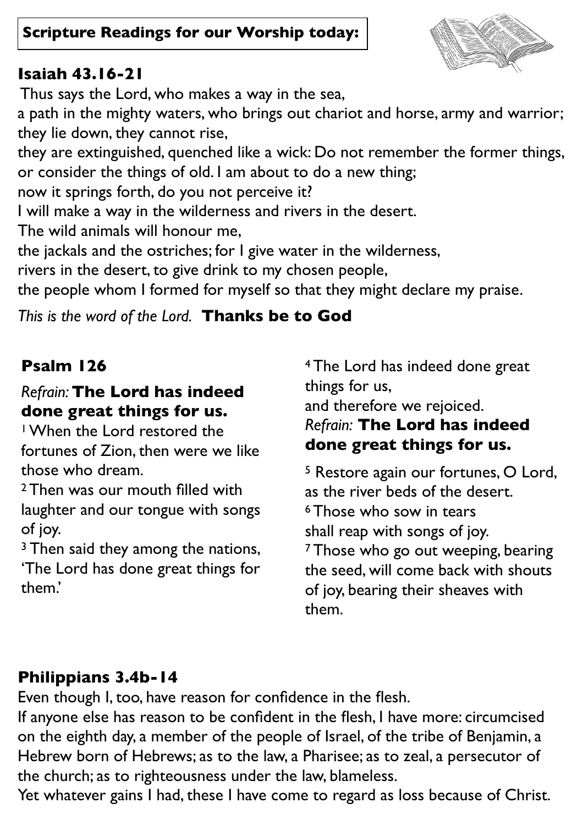## **Isaiah 43.16-21**

Thus says the Lord, who makes a way in the sea,

a path in the mighty waters, who brings out chariot and horse, army and warrior; they lie down, they cannot rise,

they are extinguished, quenched like a wick: Do not remember the former things, or consider the things of old. I am about to do a new thing;

now it springs forth, do you not perceive it?

I will make a way in the wilderness and rivers in the desert.

The wild animals will honour me,

the jackals and the ostriches; for I give water in the wilderness,

rivers in the desert, to give drink to my chosen people,

the people whom I formed for myself so that they might declare my praise.

# *This is the word of the Lord.* **Thanks be to God**

# **Psalm 126**

## *Refrain:* **The Lord has indeed done great things for us.**

1 When the Lord restored the fortunes of Zion, then were we like those who dream.

2 Then was our mouth filled with laughter and our tongue with songs of joy.

<sup>3</sup> Then said they among the nations, 'The Lord has done great things for them.'

4 The Lord has indeed done great things for us, and therefore we rejoiced.

## *Refrain:* **The Lord has indeed done great things for us.**

5 Restore again our fortunes, O Lord, as the river beds of the desert. 6 Those who sow in tears shall reap with songs of joy.  $7$  Those who go out weeping, bearing the seed, will come back with shouts of joy, bearing their sheaves with them.

# **Philippians 3.4b-14**

Even though I, too, have reason for confidence in the flesh.

If anyone else has reason to be confident in the flesh, I have more: circumcised on the eighth day, a member of the people of Israel, of the tribe of Benjamin, a Hebrew born of Hebrews; as to the law, a Pharisee; as to zeal, a persecutor of the church; as to righteousness under the law, blameless.

Yet whatever gains I had, these I have come to regard as loss because of Christ.

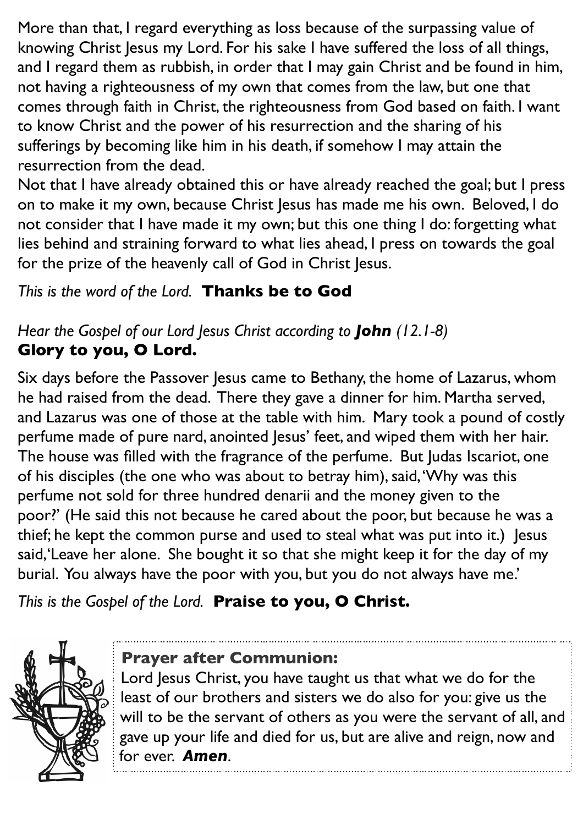More than that, I regard everything as loss because of the surpassing value of knowing Christ Jesus my Lord. For his sake I have suffered the loss of all things, and I regard them as rubbish, in order that I may gain Christ and be found in him, not having a righteousness of my own that comes from the law, but one that comes through faith in Christ, the righteousness from God based on faith. I want to know Christ and the power of his resurrection and the sharing of his sufferings by becoming like him in his death, if somehow I may attain the resurrection from the dead.

Not that I have already obtained this or have already reached the goal; but I press on to make it my own, because Christ Jesus has made me his own. Beloved, I do not consider that I have made it my own; but this one thing I do: forgetting what lies behind and straining forward to what lies ahead, I press on towards the goal for the prize of the heavenly call of God in Christ Jesus.

*This is the word of the Lord.* **Thanks be to God**

## *Hear the Gospel of our Lord Jesus Christ according to John (12.1-8)*  **Glory to you, O Lord.**

Six days before the Passover Jesus came to Bethany, the home of Lazarus, whom he had raised from the dead. There they gave a dinner for him. Martha served, and Lazarus was one of those at the table with him. Mary took a pound of costly perfume made of pure nard, anointed Jesus' feet, and wiped them with her hair. The house was filled with the fragrance of the perfume. But Judas Iscariot, one of his disciples (the one who was about to betray him), said, 'Why was this perfume not sold for three hundred denarii and the money given to the poor?' (He said this not because he cared about the poor, but because he was a thief; he kept the common purse and used to steal what was put into it.) Jesus said,'Leave her alone. She bought it so that she might keep it for the day of my burial. You always have the poor with you, but you do not always have me.'

*This is the Gospel of the Lord.* **Praise to you, O Christ.**



## **Prayer after Communion:**

Lord Jesus Christ, you have taught us that what we do for the least of our brothers and sisters we do also for you: give us the will to be the servant of others as you were the servant of all, and gave up your life and died for us, but are alive and reign, now and for ever. *Amen*.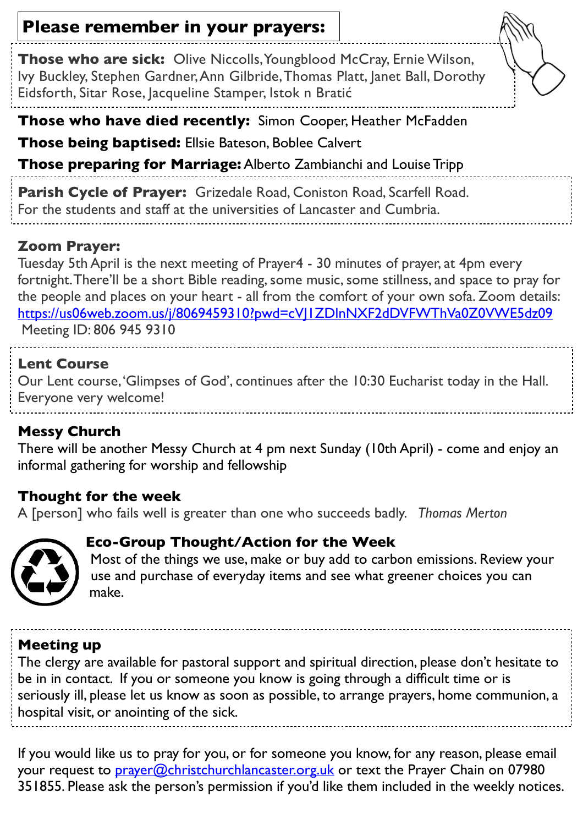## **Please remember in your prayers:**

**Those who are sick:** Olive Niccolls, Youngblood McCray, Ernie Wilson, Ivy Buckley, Stephen Gardner, Ann Gilbride, Thomas Platt, Janet Ball, Dorothy Eidsforth, Sitar Rose, Jacqueline Stamper, Istok n Bratić

**Those who have died recently:** Simon Cooper, Heather McFadden

**Those being baptised:** Ellsie Bateson, Boblee Calvert

**Those preparing for Marriage:** Alberto Zambianchi and Louise Tripp

Parish Cycle of Prayer: Grizedale Road, Coniston Road, Scarfell Road. For the students and staff at the universities of Lancaster and Cumbria.

## **Zoom Prayer:**

Tuesday 5th April is the next meeting of Prayer4 - 30 minutes of prayer, at 4pm every fortnight. There'll be a short Bible reading, some music, some stillness, and space to pray for the people and places on your heart - all from the comfort of your own sofa. Zoom details: <https://us06web.zoom.us/j/8069459310?pwd=cVJ1ZDlnNXF2dDVFWThVa0Z0VWE5dz09> Meeting ID: 806 945 9310

### **Lent Cours**

Our Lent course, 'Glimpses of God', continues after the 10:30 Eucharist today in the Hall. Everyone very welcome!

## **Messy Church**

There will be another Messy Church at 4 pm next Sunday (10th April) - come and enjoy an informal gathering for worship and fellowship

### **Thought for the week**

A [person] who fails well is greater than one who succeeds badly. *Thomas Merton*



### **Eco-Group Thought/Action for the Week**

Most of the things we use, make or buy add to carbon emissions. Review your use and purchase of everyday items and see what greener choices you can make.

## **Meeting up**

The clergy are available for pastoral support and spiritual direction, please don't hesitate to be in in contact. If you or someone you know is going through a difficult time or is seriously ill, please let us know as soon as possible, to arrange prayers, home communion, a hospital visit, or anointing of the sick.

If you would like us to pray for you, or for someone you know, for any reason, please email your request to *[prayer@christchurchlancaster.org.uk](mailto:prayer@christchurchlancaster.org.uk)* or text the Prayer Chain on 07980 351855. Please ask the person's permission if you'd like them included in the weekly notices.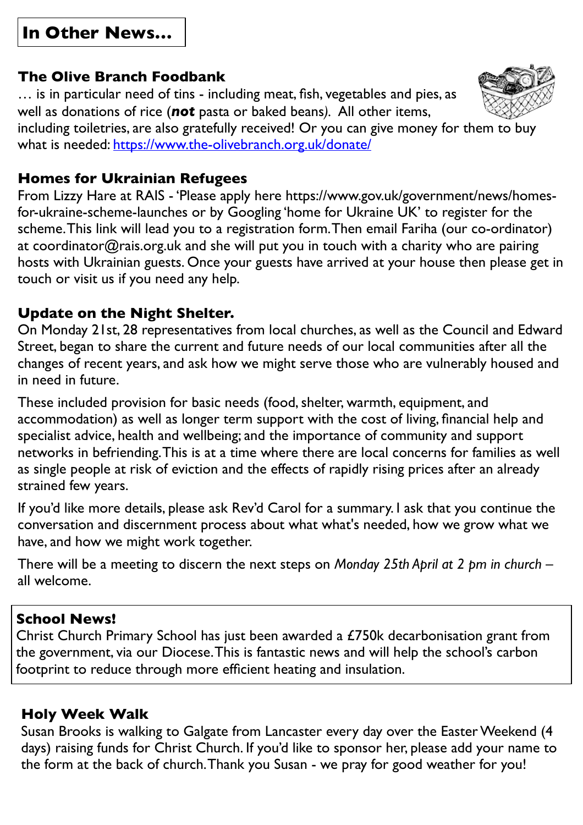## **In Other News…**

### **The Olive Branch Foodbank**

… is in particular need of tins - including meat, fish, vegetables and pies, as well as donations of rice (*not* pasta or baked beans*).* All other items,

including toiletries, are also gratefully received! Or you can give money for them to buy what is needed:<https://www.the-olivebranch.org.uk/donate/>

## **Homes for Ukrainian Refugees**

From Lizzy Hare at RAIS - 'Please apply here https://www.gov.uk/government/news/homesfor-ukraine-scheme-launches or by Googling 'home for Ukraine UK' to register for the scheme. This link will lead you to a registration form. Then email Fariha (our co-ordinator) at coordinator@rais.org.uk and she will put you in touch with a charity who are pairing hosts with Ukrainian guests. Once your guests have arrived at your house then please get in touch or visit us if you need any help.

## **Update on the Night Shelter.**

On Monday 21st, 28 representatives from local churches, as well as the Council and Edward Street, began to share the current and future needs of our local communities after all the changes of recent years, and ask how we might serve those who are vulnerably housed and in need in future.

These included provision for basic needs (food, shelter, warmth, equipment, and accommodation) as well as longer term support with the cost of living, financial help and specialist advice, health and wellbeing; and the importance of community and support networks in befriending. This is at a time where there are local concerns for families as well as single people at risk of eviction and the effects of rapidly rising prices after an already strained few years.

If you'd like more details, please ask Rev'd Carol for a summary. I ask that you continue the conversation and discernment process about what what's needed, how we grow what we have, and how we might work together.

There will be a meeting to discern the next steps on *Monday 25th April at 2 pm in church* – all welcome.

## **School News!**

Christ Church Primary School has just been awarded a £750k decarbonisation grant from the government, via our Diocese. This is fantastic news and will help the school's carbon footprint to reduce through more efficient heating and insulation.

## **Holy Week Walk**

Susan Brooks is walking to Galgate from Lancaster every day over the Easter Weekend (4 days) raising funds for Christ Church. If you'd like to sponsor her, please add your name to the form at the back of church. Thank you Susan - we pray for good weather for you!

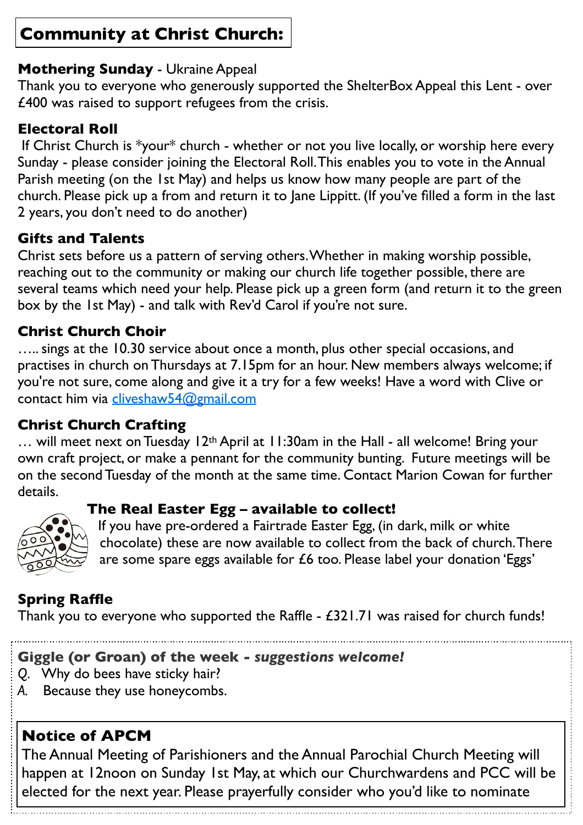# **Community at Christ Church:**

### **Mothering Sunday** - Ukraine Appeal

Thank you to everyone who generously supported the ShelterBox Appeal this Lent - over £400 was raised to support refugees from the crisis.

### **Electoral Roll**

If Christ Church is \*your\* church - whether or not you live locally, or worship here every Sunday - please consider joining the Electoral Roll. This enables you to vote in the Annual Parish meeting (on the 1st May) and helps us know how many people are part of the church. Please pick up a from and return it to Jane Lippitt. (If you've filled a form in the last 2 years, you don't need to do another)

### **Gifts and Talents**

Christ sets before us a pattern of serving others. Whether in making worship possible, reaching out to the community or making our church life together possible, there are several teams which need your help. Please pick up a green form (and return it to the green box by the 1st May) - and talk with Rev'd Carol if you're not sure.

### **Christ Church Choir**

….. sings at the 10.30 service about once a month, plus other special occasions, and practises in church on Thursdays at 7.15pm for an hour. New members always welcome; if you're not sure, come along and give it a try for a few weeks! Have a word with Clive or contact him via [cliveshaw54@gmail.com](mailto:cliveshaw54@gmail.com)

## **Christ Church Crafting**

... will meet next on Tuesday 12<sup>th</sup> April at 11:30am in the Hall - all welcome! Bring your own craft project, or make a pennant for the community bunting. Future meetings will be on the second Tuesday of the month at the same time. Contact Marion Cowan for further details.

### **The Real Easter Egg – available to collect!**



If you have pre-ordered a Fairtrade Easter Egg, (in dark, milk or white chocolate) these are now available to collect from the back of church. There are some spare eggs available for £6 too. Please label your donation 'Eggs'

## **Spring Raffle**

Thank you to everyone who supported the Raffle - £321.71 was raised for church funds!

## **Giggle (or Groan) of the week** *- suggestions welcome!*

- *Q.* Why do bees have sticky hair?
- *A.* Because they use honeycombs.

## **Notice of APCM**

The Annual Meeting of Parishioners and the Annual Parochial Church Meeting will happen at 12noon on Sunday 1st May, at which our Churchwardens and PCC will be elected for the next year. Please prayerfully consider who you'd like to nominate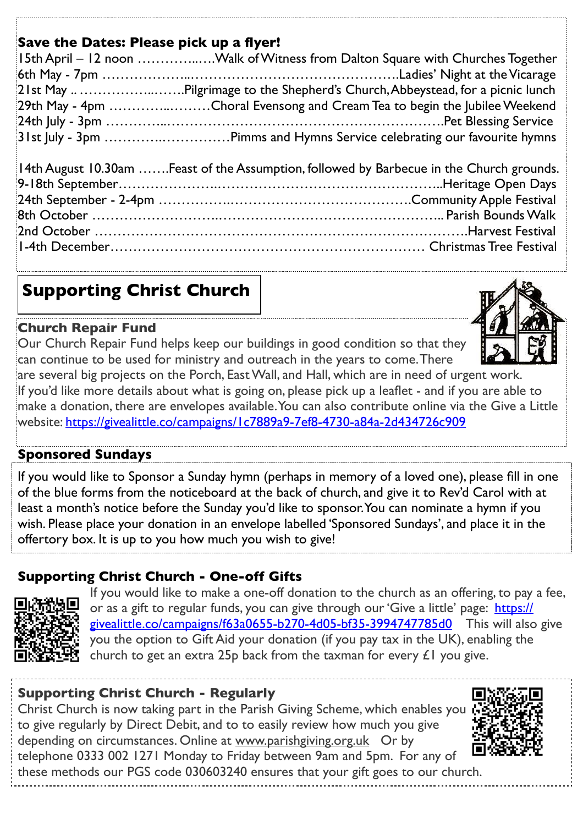## **Save the Dates: Please pick up a flyer!**

| 15th April – 12 noon Walk of Witness from Dalton Square with Churches Together           |
|------------------------------------------------------------------------------------------|
|                                                                                          |
| 21st May Pilgrimage to the Shepherd's Church, Abbeystead, for a picnic lunch             |
| 29th May - 4pm Choral Evensong and Cream Tea to begin the Jubilee Weekend                |
| 24th July - 3pm …………………………………………………………………Pet Blessing Service                            |
| 31st July - 3pm Pimms and Hymns Service celebrating our favourite hymns                  |
| 14th August 10.30am Feast of the Assumption, followed by Barbecue in the Church grounds. |
|                                                                                          |
|                                                                                          |

# **Supporting Christ Church**

## **Church Repair Fund**

Our Church Repair Fund helps keep our buildings in good condition so that they can continue to be used for ministry and outreach in the years to come. There

are several big projects on the Porch, East Wall, and Hall, which are in need of urgent work. If you'd like more details about what is going on, please pick up a leaflet - and if you are able to make a donation, there are envelopes available. You can also contribute online via the Give a Little website: <https://givealittle.co/campaigns/1c7889a9-7ef8-4730-a84a-2d434726c909>

## **Sponsored Sundays**

If you would like to Sponsor a Sunday hymn (perhaps in memory of a loved one), please fill in one of the blue forms from the noticeboard at the back of church, and give it to Rev'd Carol with at least a month's notice before the Sunday you'd like to sponsor. You can nominate a hymn if you wish. Please place your donation in an envelope labelled 'Sponsored Sundays', and place it in the offertory box. It is up to you how much you wish to give!

## **Supporting Christ Church - One-off Gifts**



If you would like to make a one-off donation to the church as an offering, to pay a fee, or as a gift to regular funds, you can give through our 'Give a little' page: [https://](https://givealittle.co/campaigns/f63a0655-b270-4d05-bf35-3994747785d0) [givealittle.co/campaigns/f63a0655-b270-4d05-bf35-3994747785d0](https://givealittle.co/campaigns/f63a0655-b270-4d05-bf35-3994747785d0) This will also give you the option to Gift Aid your donation (if you pay tax in the UK), enabling the church to get an extra 25p back from the taxman for every  $\mathcal{L}$  you give.

### **Supporting Christ Church - Regularly**

Christ Church is now taking part in the Parish Giving Scheme, which enables you to give regularly by Direct Debit, and to to easily review how much you give depending on circumstances. Online at [www.parishgiving.org.uk](http://www.parishgiving.org.uk) Or by telephone 0333 002 1271 Monday to Friday between 9am and 5pm. For any of these methods our PGS code 030603240 ensures that your gift goes to our church.